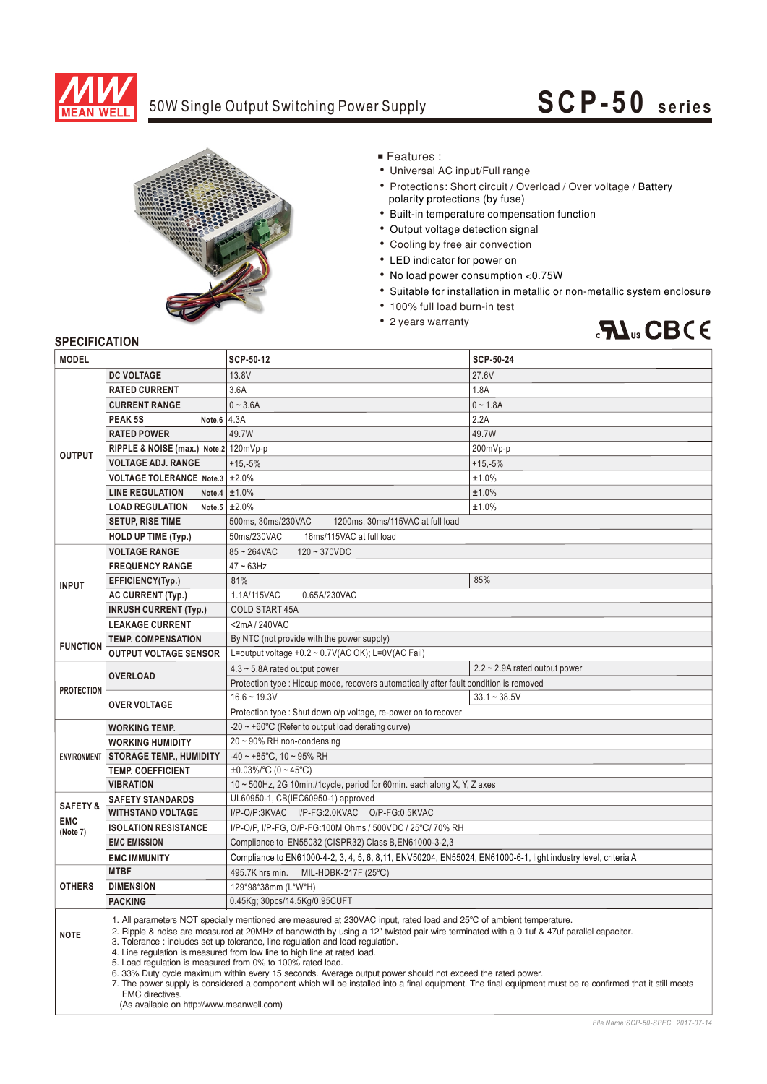

### 50W Single Output Switching Power Supply

# **SCP-50 seri es**



■ Features :

- Universal AC input/Full range
- Protections: Short circuit / Overload / Over voltage / Battery polarity protections (by fuse)
- Built-in temperature compensation function
- Output voltage detection signal
- Cooling by free air convection
- LED indicator for power on
- No load power consumption < 0.75W
- Suitable for installation in metallic or non-metallic system enclosure
- 100% full load burn-in test
- 2 years warranty



#### **SPECIFICATION**

| <b>MODEL</b>        |                                                                                                                                                                                                                                                                                                                                                                                                                                                                                                                                                                                                                                                                                                                                                                                                                                               | SCP-50-12                                                                                                      | <b>SCP-50-24</b>                    |  |  |
|---------------------|-----------------------------------------------------------------------------------------------------------------------------------------------------------------------------------------------------------------------------------------------------------------------------------------------------------------------------------------------------------------------------------------------------------------------------------------------------------------------------------------------------------------------------------------------------------------------------------------------------------------------------------------------------------------------------------------------------------------------------------------------------------------------------------------------------------------------------------------------|----------------------------------------------------------------------------------------------------------------|-------------------------------------|--|--|
|                     | <b>DC VOLTAGE</b>                                                                                                                                                                                                                                                                                                                                                                                                                                                                                                                                                                                                                                                                                                                                                                                                                             | 13.8V                                                                                                          | 27.6V                               |  |  |
| <b>OUTPUT</b>       | <b>RATED CURRENT</b>                                                                                                                                                                                                                                                                                                                                                                                                                                                                                                                                                                                                                                                                                                                                                                                                                          | 3.6A                                                                                                           | 1.8A                                |  |  |
|                     | <b>CURRENT RANGE</b>                                                                                                                                                                                                                                                                                                                                                                                                                                                                                                                                                                                                                                                                                                                                                                                                                          | $0 - 3.6A$                                                                                                     | $0 - 1.8A$                          |  |  |
|                     | PEAK <sub>5S</sub><br>Note.6 $ 4.3A$                                                                                                                                                                                                                                                                                                                                                                                                                                                                                                                                                                                                                                                                                                                                                                                                          |                                                                                                                | 2.2A                                |  |  |
|                     | <b>RATED POWER</b>                                                                                                                                                                                                                                                                                                                                                                                                                                                                                                                                                                                                                                                                                                                                                                                                                            | 49.7W                                                                                                          | 49.7W                               |  |  |
|                     | RIPPLE & NOISE (max.) Note.2 120mVp-p                                                                                                                                                                                                                                                                                                                                                                                                                                                                                                                                                                                                                                                                                                                                                                                                         |                                                                                                                | 200mVp-p                            |  |  |
|                     | <b>VOLTAGE ADJ. RANGE</b>                                                                                                                                                                                                                                                                                                                                                                                                                                                                                                                                                                                                                                                                                                                                                                                                                     | $+15,-5%$                                                                                                      | $+15,-5%$                           |  |  |
|                     | VOLTAGE TOLERANCE Note.3 ±2.0%                                                                                                                                                                                                                                                                                                                                                                                                                                                                                                                                                                                                                                                                                                                                                                                                                |                                                                                                                | ±1.0%                               |  |  |
|                     | <b>LINE REGULATION</b>                                                                                                                                                                                                                                                                                                                                                                                                                                                                                                                                                                                                                                                                                                                                                                                                                        | Note.4 $\pm 1.0\%$                                                                                             | ±1.0%                               |  |  |
|                     | <b>LOAD REGULATION</b>                                                                                                                                                                                                                                                                                                                                                                                                                                                                                                                                                                                                                                                                                                                                                                                                                        | Note.5 $\pm 2.0\%$                                                                                             | ±1.0%                               |  |  |
|                     | <b>SETUP, RISE TIME</b>                                                                                                                                                                                                                                                                                                                                                                                                                                                                                                                                                                                                                                                                                                                                                                                                                       | 500ms, 30ms/230VAC<br>1200ms, 30ms/115VAC at full load                                                         |                                     |  |  |
|                     | <b>HOLD UP TIME (Typ.)</b>                                                                                                                                                                                                                                                                                                                                                                                                                                                                                                                                                                                                                                                                                                                                                                                                                    | 50ms/230VAC<br>16ms/115VAC at full load                                                                        |                                     |  |  |
| <b>INPUT</b>        | <b>VOLTAGE RANGE</b>                                                                                                                                                                                                                                                                                                                                                                                                                                                                                                                                                                                                                                                                                                                                                                                                                          | $85 - 264$ VAC<br>$120 - 370VDC$                                                                               |                                     |  |  |
|                     | <b>FREQUENCY RANGE</b>                                                                                                                                                                                                                                                                                                                                                                                                                                                                                                                                                                                                                                                                                                                                                                                                                        | $47 \sim 63$ Hz                                                                                                |                                     |  |  |
|                     | EFFICIENCY(Typ.)                                                                                                                                                                                                                                                                                                                                                                                                                                                                                                                                                                                                                                                                                                                                                                                                                              | 81%                                                                                                            | 85%                                 |  |  |
|                     | <b>AC CURRENT (Typ.)</b>                                                                                                                                                                                                                                                                                                                                                                                                                                                                                                                                                                                                                                                                                                                                                                                                                      | 0.65A/230VAC<br>1.1A/115VAC                                                                                    |                                     |  |  |
|                     | <b>INRUSH CURRENT (Typ.)</b>                                                                                                                                                                                                                                                                                                                                                                                                                                                                                                                                                                                                                                                                                                                                                                                                                  | <b>COLD START 45A</b>                                                                                          |                                     |  |  |
|                     | <b>LEAKAGE CURRENT</b>                                                                                                                                                                                                                                                                                                                                                                                                                                                                                                                                                                                                                                                                                                                                                                                                                        | <2mA/240VAC                                                                                                    |                                     |  |  |
| <b>FUNCTION</b>     | <b>TEMP. COMPENSATION</b>                                                                                                                                                                                                                                                                                                                                                                                                                                                                                                                                                                                                                                                                                                                                                                                                                     | By NTC (not provide with the power supply)                                                                     |                                     |  |  |
|                     | <b>OUTPUT VOLTAGE SENSOR</b>                                                                                                                                                                                                                                                                                                                                                                                                                                                                                                                                                                                                                                                                                                                                                                                                                  | L=output voltage +0.2 ~ 0.7V(AC OK); L=0V(AC Fail)                                                             |                                     |  |  |
|                     | <b>OVERLOAD</b>                                                                                                                                                                                                                                                                                                                                                                                                                                                                                                                                                                                                                                                                                                                                                                                                                               | $4.3 \sim 5.8$ A rated output power                                                                            | $2.2 \sim 2.9$ A rated output power |  |  |
|                     |                                                                                                                                                                                                                                                                                                                                                                                                                                                                                                                                                                                                                                                                                                                                                                                                                                               | Protection type : Hiccup mode, recovers automatically after fault condition is removed                         |                                     |  |  |
| <b>PROTECTION</b>   | <b>OVER VOLTAGE</b>                                                                                                                                                                                                                                                                                                                                                                                                                                                                                                                                                                                                                                                                                                                                                                                                                           | $16.6 - 19.3V$                                                                                                 | $33.1 - 38.5V$                      |  |  |
|                     |                                                                                                                                                                                                                                                                                                                                                                                                                                                                                                                                                                                                                                                                                                                                                                                                                                               | Protection type : Shut down o/p voltage, re-power on to recover                                                |                                     |  |  |
|                     | <b>WORKING TEMP.</b>                                                                                                                                                                                                                                                                                                                                                                                                                                                                                                                                                                                                                                                                                                                                                                                                                          | -20 $\sim$ +60 $\degree$ C (Refer to output load derating curve)                                               |                                     |  |  |
|                     | <b>WORKING HUMIDITY</b>                                                                                                                                                                                                                                                                                                                                                                                                                                                                                                                                                                                                                                                                                                                                                                                                                       | 20 ~ 90% RH non-condensing                                                                                     |                                     |  |  |
| <b>ENVIRONMENT</b>  | <b>STORAGE TEMP., HUMIDITY</b>                                                                                                                                                                                                                                                                                                                                                                                                                                                                                                                                                                                                                                                                                                                                                                                                                | $-40 \sim +85^{\circ}$ C, 10 ~ 95% RH                                                                          |                                     |  |  |
|                     | <b>TEMP. COEFFICIENT</b>                                                                                                                                                                                                                                                                                                                                                                                                                                                                                                                                                                                                                                                                                                                                                                                                                      | $\pm 0.03\%$ /°C (0 ~ 45°C)                                                                                    |                                     |  |  |
|                     | <b>VIBRATION</b>                                                                                                                                                                                                                                                                                                                                                                                                                                                                                                                                                                                                                                                                                                                                                                                                                              | 10 ~ 500Hz, 2G 10min./1cycle, period for 60min. each along X, Y, Z axes                                        |                                     |  |  |
| <b>SAFETY &amp;</b> | <b>SAFETY STANDARDS</b>                                                                                                                                                                                                                                                                                                                                                                                                                                                                                                                                                                                                                                                                                                                                                                                                                       | UL60950-1, CB(IEC60950-1) approved                                                                             |                                     |  |  |
| <b>EMC</b>          | <b>WITHSTAND VOLTAGE</b>                                                                                                                                                                                                                                                                                                                                                                                                                                                                                                                                                                                                                                                                                                                                                                                                                      | I/P-O/P:3KVAC I/P-FG:2.0KVAC O/P-FG:0.5KVAC                                                                    |                                     |  |  |
| (Note 7)            | <b>ISOLATION RESISTANCE</b>                                                                                                                                                                                                                                                                                                                                                                                                                                                                                                                                                                                                                                                                                                                                                                                                                   | I/P-O/P, I/P-FG, O/P-FG:100M Ohms / 500VDC / 25°C/ 70% RH                                                      |                                     |  |  |
|                     | <b>EMC EMISSION</b>                                                                                                                                                                                                                                                                                                                                                                                                                                                                                                                                                                                                                                                                                                                                                                                                                           | Compliance to EN55032 (CISPR32) Class B, EN61000-3-2,3                                                         |                                     |  |  |
|                     | <b>EMC IMMUNITY</b>                                                                                                                                                                                                                                                                                                                                                                                                                                                                                                                                                                                                                                                                                                                                                                                                                           | Compliance to EN61000-4-2, 3, 4, 5, 6, 8, 11, ENV50204, EN55024, EN61000-6-1, light industry level, criteria A |                                     |  |  |
| <b>OTHERS</b>       | <b>MTBF</b>                                                                                                                                                                                                                                                                                                                                                                                                                                                                                                                                                                                                                                                                                                                                                                                                                                   | 495.7K hrs min.<br>MIL-HDBK-217F (25°C)                                                                        |                                     |  |  |
|                     | <b>DIMENSION</b>                                                                                                                                                                                                                                                                                                                                                                                                                                                                                                                                                                                                                                                                                                                                                                                                                              | 129*98*38mm (L*W*H)                                                                                            |                                     |  |  |
|                     | <b>PACKING</b>                                                                                                                                                                                                                                                                                                                                                                                                                                                                                                                                                                                                                                                                                                                                                                                                                                | 0.45Kg; 30pcs/14.5Kg/0.95CUFT                                                                                  |                                     |  |  |
| <b>NOTE</b>         | 1. All parameters NOT specially mentioned are measured at 230VAC input, rated load and 25°C of ambient temperature.<br>2. Ripple & noise are measured at 20MHz of bandwidth by using a 12" twisted pair-wire terminated with a 0.1uf & 47uf parallel capacitor.<br>3. Tolerance: includes set up tolerance, line regulation and load regulation.<br>4. Line regulation is measured from low line to high line at rated load.<br>5. Load regulation is measured from 0% to 100% rated load.<br>6. 33% Duty cycle maximum within every 15 seconds. Average output power should not exceed the rated power.<br>7. The power supply is considered a component which will be installed into a final equipment. The final equipment must be re-confirmed that it still meets<br><b>EMC</b> directives.<br>(As available on http://www.meanwell.com) |                                                                                                                |                                     |  |  |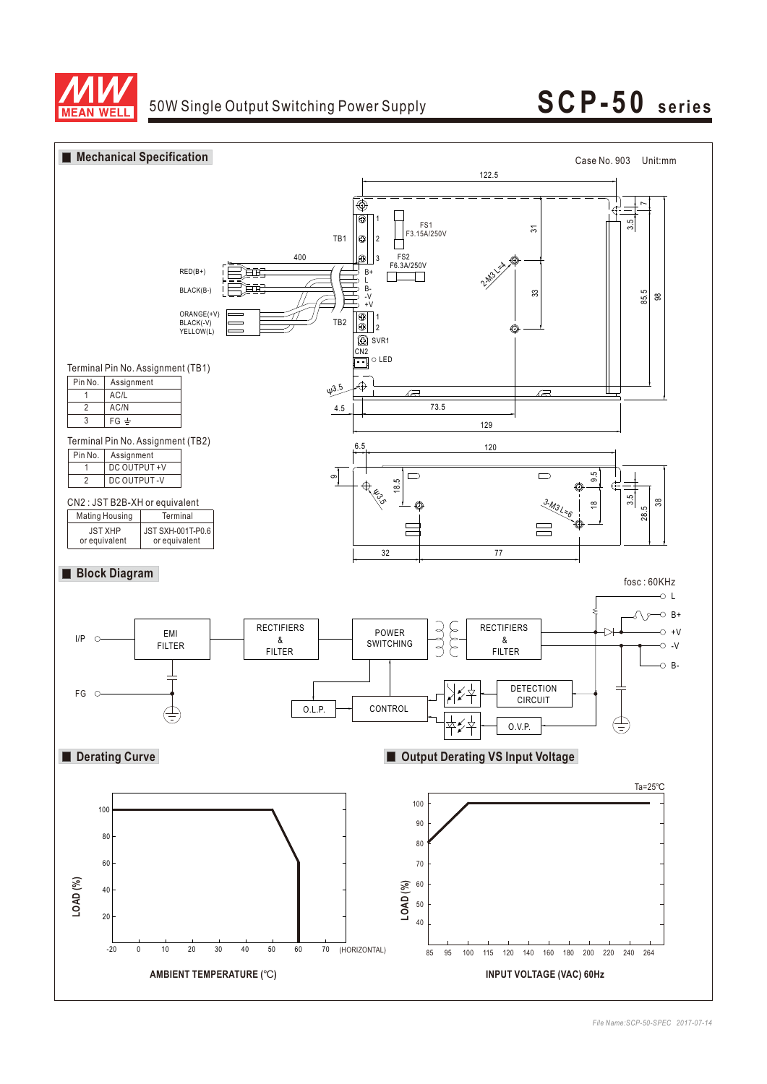

# 50W Single Output Switching Power Supply **SCP - 50 series**